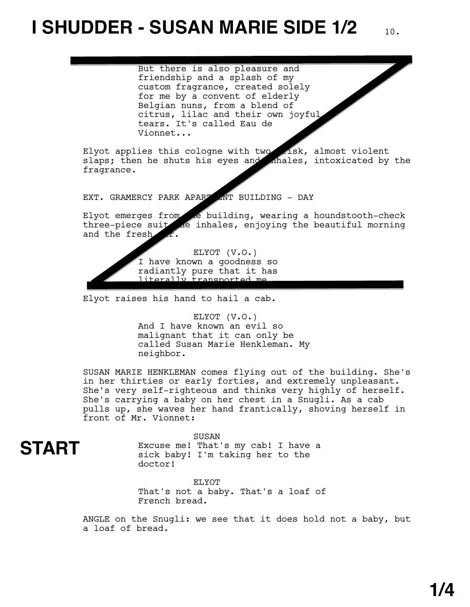## **I SHUDDER - SUSAN MARIE SIDE 1/2**

ELYOT

But there is also pleasure and friendship and a splash of my custom fragrance, created solely for me by a convent of elderly Belgian nuns, from a blend of citrus, lilac and their own joyful tears. It's called Eau de Vionnet...

Elyot applies this cologne with two  $\angle$  isk, almost violent slaps; then he shuts his eyes and ahales, intoxicated by the fragrance.

EXT. GRAMERCY PARK APART ANT BUILDING - DAY

Elyot emerges from the building, wearing a houndstooth-check three-piece suit are inhales, enjoying the beautiful morning and the fresh  $\mathcal{L}.$ 

> ELYOT (V.O.) I have known a goodness so radiantly pure that it has literally transported me

Elyot raises his hand to hail a cab.

ELYOT (V.O.) And I have known an evil so malignant that it can only be called Susan Marie Henkleman. My neighbor.

SUSAN MARIE HENKLEMAN comes flying out of the building. She's in her thirties or early forties, and extremely unpleasant. She's very self-righteous and thinks very highly of herself. She's carrying a baby on her chest in a Snugli. As a cab pulls up, she waves her hand frantically, shoving herself in front of Mr. Vionnet:

SUSAN

**START**

Excuse me! That's my cab! I have a sick baby! I'm taking her to the doctor!

ELYOT That's not a baby. That's a loaf of French bread.

ANGLE on the Snugli: we see that it does hold not a baby, but a loaf of bread.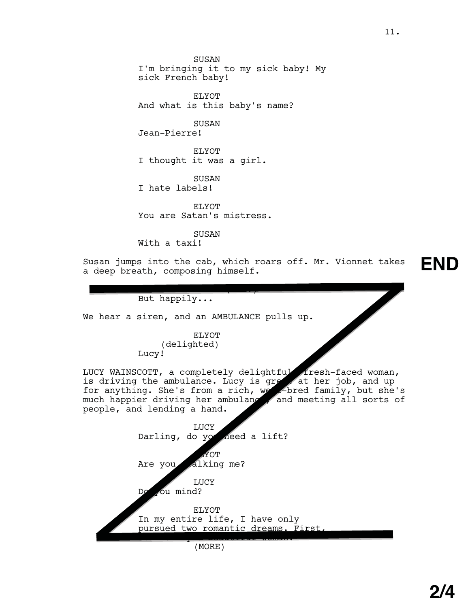SUSAN I'm bringing it to my sick baby! My sick French baby!

ELYOT And what is this baby's name?

SUSAN Jean-Pierre!

ELYOT I thought it was a girl.

SUSAN I hate labels!

ELYOT You are Satan's mistress.

SUSAN With a taxi!

Susan jumps into the cab, which roars off. Mr. Vionnet takes a deep breath, composing himself.

 $\overline{\phantom{a}}$ 

**END**

But happily...

We hear a siren, and an AMBULANCE pulls up.

ELYOT (delighted) Lucy!

LUCY WAINSCOTT, a completely delightful, fresh-faced woman, is driving the ambulance. Lucy is great at her job, and up for anything. She's from a rich, we elected family, but she's much happier driving her ambulance, and meeting all sorts of people, and lending a hand. fr **at** lle,

| LUCY<br>Darling, do yo need a lift?<br>MOT |
|--------------------------------------------|
| Are you alking me?                         |
| LUCY<br>ou mind?<br>Dø                     |
| <b>F.I.YOT</b>                             |
| In my entire life, I have only             |
| pursued two romantic dreams. First.        |
| MORE                                       |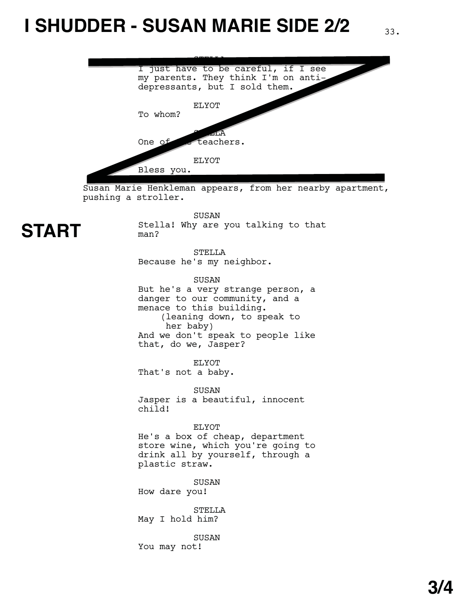## **I SHUDDER - SUSAN MARIE SIDE 2/2** 33.



Susan Marie Henkleman appears, from her nearby apartment, pushing a stroller.

SUSAN



Stella! Why are you talking to that man?

STELLA Because he's my neighbor.

SUSAN But he's a very strange person, a danger to our community, and a menace to this building. (leaning down, to speak to her baby) And we don't speak to people like that, do we, Jasper?

ELYOT That's not a baby.

SUSAN Jasper is a beautiful, innocent child!

ELYOT He's a box of cheap, department store wine, which you're going to drink all by yourself, through a plastic straw.

SUSAN How dare you!

STELLA May I hold him?

SUSAN You may not!